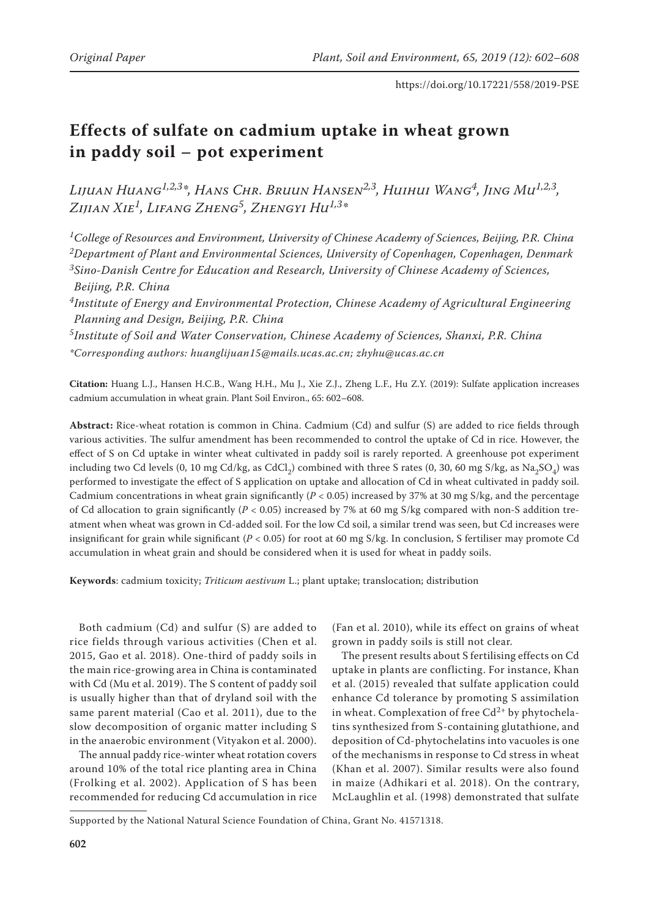# **Effects of sulfate on cadmium uptake in wheat grown in paddy soil – pot experiment**

*Lijuan Huang1,2,3\*, Hans Chr. Bruun Hansen2,3, Huihui Wang4, Jing Mu1,2,3, Zijian Xie1, Lifang Zheng5, Zhengyi Hu1,3\**

*1College of Resources and Environment, University of Chinese Academy of Sciences, Beijing, P.R. China 2Department of Plant and Environmental Sciences, University of Copenhagen, Copenhagen, Denmark 3Sino-Danish Centre for Education and Research, University of Chinese Academy of Sciences, Beijing, P.R. China*

*4Institute of Energy and Environmental Protection, Chinese Academy of Agricultural Engineering Planning and Design, Beijing, P.R. China*

*5Institute of Soil and Water Conservation, Chinese Academy of Sciences, Shanxi, P.R. China \*Corresponding authors: huanglijuan15@mails.ucas.ac.cn; zhyhu@ucas.ac.cn*

**Citation:** Huang L.J., Hansen H.C.B., Wang H.H., Mu J., Xie Z.J., Zheng L.F., Hu Z.Y. (2019): Sulfate application increases cadmium accumulation in wheat grain. Plant Soil Environ., 65: 602–608.

**Abstract:** Rice-wheat rotation is common in China. Cadmium (Cd) and sulfur (S) are added to rice fields through various activities. The sulfur amendment has been recommended to control the uptake of Cd in rice. However, the effect of S on Cd uptake in winter wheat cultivated in paddy soil is rarely reported. A greenhouse pot experiment including two Cd levels (0, 10 mg Cd/kg, as CdCl<sub>2</sub>) combined with three S rates (0, 30, 60 mg S/kg, as Na<sub>2</sub>SO<sub>4</sub>) was performed to investigate the effect of S application on uptake and allocation of Cd in wheat cultivated in paddy soil. Cadmium concentrations in wheat grain significantly (*P* < 0.05) increased by 37% at 30 mg S/kg, and the percentage of Cd allocation to grain significantly (*P* < 0.05) increased by 7% at 60 mg S/kg compared with non-S addition treatment when wheat was grown in Cd-added soil. For the low Cd soil, a similar trend was seen, but Cd increases were insignificant for grain while significant (*P* < 0.05) for root at 60 mg S/kg. In conclusion, S fertiliser may promote Cd accumulation in wheat grain and should be considered when it is used for wheat in paddy soils.

**Keywords**: cadmium toxicity; *Triticum aestivum* L.; plant uptake; translocation; distribution

Both cadmium (Cd) and sulfur (S) are added to rice fields through various activities (Chen et al. 2015, Gao et al. 2018). One-third of paddy soils in the main rice-growing area in China is contaminated with Cd (Mu et al. 2019). The S content of paddy soil is usually higher than that of dryland soil with the same parent material (Cao et al. 2011), due to the slow decomposition of organic matter including S in the anaerobic environment (Vityakon et al. 2000).

The annual paddy rice-winter wheat rotation covers around 10% of the total rice planting area in China (Frolking et al. 2002). Application of S has been recommended for reducing Cd accumulation in rice

(Fan et al. 2010), while its effect on grains of wheat grown in paddy soils is still not clear.

The present results about S fertilising effects on Cd uptake in plants are conflicting. For instance, Khan et al. (2015) revealed that sulfate application could enhance Cd tolerance by promoting S assimilation in wheat. Complexation of free  $Cd^{2+}$  by phytochelatins synthesized from S-containing glutathione, and deposition of Cd-phytochelatins into vacuoles is one of the mechanisms in response to Cd stress in wheat (Khan et al. 2007). Similar results were also found in maize (Adhikari et al. 2018). On the contrary, McLaughlin et al. (1998) demonstrated that sulfate

Supported by the National Natural Science Foundation of China, Grant No. 41571318.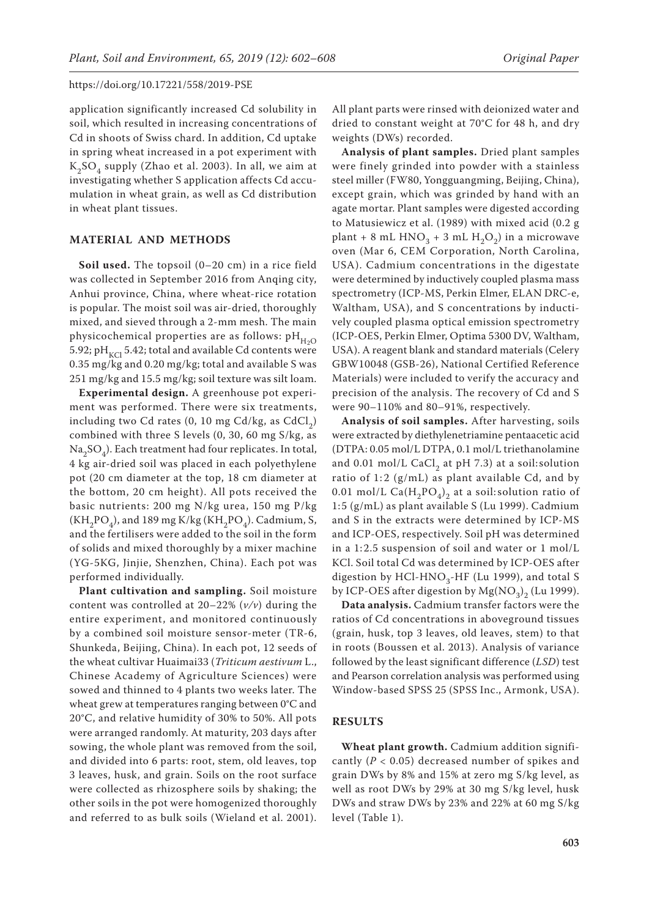application significantly increased Cd solubility in soil, which resulted in increasing concentrations of Cd in shoots of Swiss chard. In addition, Cd uptake in spring wheat increased in a pot experiment with  $K_2SO_4$  supply (Zhao et al. 2003). In all, we aim at investigating whether S application affects Cd accumulation in wheat grain, as well as Cd distribution in wheat plant tissues.

# **MATERIAL AND METHODS**

**Soil used.** The topsoil (0–20 cm) in a rice field was collected in September 2016 from Anqing city, Anhui province, China, where wheat-rice rotation is popular. The moist soil was air-dried, thoroughly mixed, and sieved through a 2-mm mesh. The main physicochemical properties are as follows:  $pH_{H2O}$ 5.92; pH<sub>KCl</sub> 5.42; total and available Cd contents were 0.35 mg/kg and 0.20 mg/kg; total and available S was 251 mg/kg and 15.5 mg/kg; soil texture was silt loam.

**Experimental design.** A greenhouse pot experiment was performed. There were six treatments, including two Cd rates  $(0, 10 \text{ mg Cd/kg}, \text{as CdCl}_2)$ combined with three S levels (0, 30, 60 mg S/kg, as  $Na<sub>2</sub>SO<sub>4</sub>$ ). Each treatment had four replicates. In total, 4 kg air-dried soil was placed in each polyethylene pot (20 cm diameter at the top, 18 cm diameter at the bottom, 20 cm height). All pots received the basic nutrients: 200 mg N/kg urea, 150 mg P/kg  $(KH_2PO_4)$ , and 189 mg  $K/kg$  ( $KH_2PO_4$ ). Cadmium, S, and the fertilisers were added to the soil in the form of solids and mixed thoroughly by a mixer machine (YG-5KG, Jinjie, Shenzhen, China). Each pot was performed individually.

**Plant cultivation and sampling.** Soil moisture content was controlled at 20–22% (*v/v*) during the entire experiment, and monitored continuously by a combined soil moisture sensor-meter (TR-6, Shunkeda, Beijing, China). In each pot, 12 seeds of the wheat cultivar Huaimai33 (*Triticum aestivum* L., Chinese Academy of Agriculture Sciences) were sowed and thinned to 4 plants two weeks later. The wheat grew at temperatures ranging between 0°C and 20°C, and relative humidity of 30% to 50%. All pots were arranged randomly. At maturity, 203 days after sowing, the whole plant was removed from the soil, and divided into 6 parts: root, stem, old leaves, top 3 leaves, husk, and grain. Soils on the root surface were collected as rhizosphere soils by shaking; the other soils in the pot were homogenized thoroughly and referred to as bulk soils (Wieland et al. 2001).

All plant parts were rinsed with deionized water and dried to constant weight at 70°C for 48 h, and dry weights (DWs) recorded.

**Analysis of plant samples.** Dried plant samples were finely grinded into powder with a stainless steel miller (FW80, Yongguangming, Beijing, China), except grain, which was grinded by hand with an agate mortar. Plant samples were digested according to Matusiewicz et al. (1989) with mixed acid (0.2 g plant + 8 mL HNO<sub>2</sub> + 3 mL H<sub>2</sub>O<sub>2</sub>) in a microwave oven (Mar 6, CEM Corporation, North Carolina, USA). Cadmium concentrations in the digestate were determined by inductively coupled plasma mass spectrometry (ICP-MS, Perkin Elmer, ELAN DRC-e, Waltham, USA), and S concentrations by inductively coupled plasma optical emission spectrometry (ICP-OES, Perkin Elmer, Optima 5300 DV, Waltham, USA). A reagent blank and standard materials (Celery GBW10048 (GSB-26), National Certified Reference Materials) were included to verify the accuracy and precision of the analysis. The recovery of Cd and S were 90–110% and 80–91%, respectively.

**Analysis of soil samples.** After harvesting, soils were extracted by diethylenetriamine pentaacetic acid (DTPA: 0.05 mol/L DTPA, 0.1 mol/L triethanolamine and  $0.01$  mol/L CaCl<sub>2</sub> at pH 7.3) at a soil: solution ratio of 1:2  $(g/mL)$  as plant available Cd, and by 0.01 mol/L Ca( $H_2PO_4$ )<sub>2</sub> at a soil: solution ratio of 1:5 (g/mL) as plant available S (Lu 1999). Cadmium and S in the extracts were determined by ICP-MS and ICP-OES, respectively. Soil pH was determined in a 1:2.5 suspension of soil and water or 1 mol/L KCl. Soil total Cd was determined by ICP-OES after digestion by HCl-HNO<sub>3</sub>-HF (Lu 1999), and total S by ICP-OES after digestion by  $Mg(NO<sub>3</sub>)<sub>2</sub>$  (Lu 1999).

**Data analysis.** Cadmium transfer factors were the ratios of Cd concentrations in aboveground tissues (grain, husk, top 3 leaves, old leaves, stem) to that in roots (Boussen et al. 2013). Analysis of variance followed by the least significant difference (*LSD*) test and Pearson correlation analysis was performed using Window-based SPSS 25 (SPSS Inc., Armonk, USA).

# **RESULTS**

**Wheat plant growth.** Cadmium addition significantly (*P* < 0.05) decreased number of spikes and grain DWs by 8% and 15% at zero mg S/kg level, as well as root DWs by 29% at 30 mg S/kg level, husk DWs and straw DWs by 23% and 22% at 60 mg S/kg level (Table 1).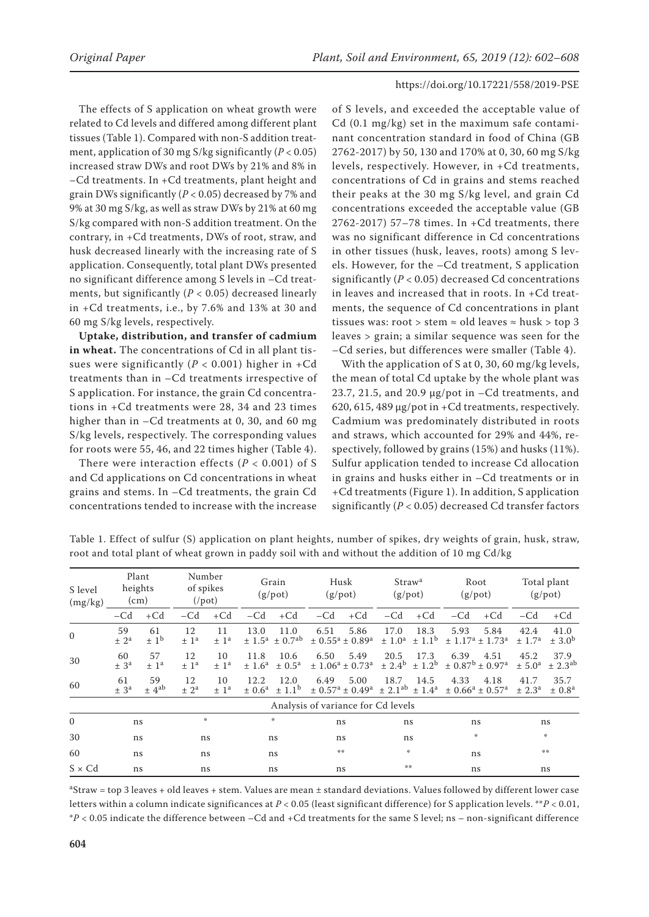The effects of S application on wheat growth were related to Cd levels and differed among different plant tissues (Table 1). Compared with non-S addition treatment, application of 30 mg  $S/kg$  significantly ( $P < 0.05$ ) increased straw DWs and root DWs by 21% and 8% in –Cd treatments. In +Cd treatments, plant height and grain DWs significantly (*P* < 0.05) decreased by 7% and 9% at 30 mg S/kg, as well as straw DWs by 21% at 60 mg S/kg compared with non-S addition treatment. On the contrary, in +Cd treatments, DWs of root, straw, and husk decreased linearly with the increasing rate of S application. Consequently, total plant DWs presented no significant difference among S levels in –Cd treatments, but significantly  $(P < 0.05)$  decreased linearly in +Cd treatments, i.e., by 7.6% and 13% at 30 and 60 mg S/kg levels, respectively.

**Uptake, distribution, and transfer of cadmium in wheat.** The concentrations of Cd in all plant tissues were significantly ( $P < 0.001$ ) higher in +Cd treatments than in –Cd treatments irrespective of S application. For instance, the grain Cd concentrations in +Cd treatments were 28, 34 and 23 times higher than in –Cd treatments at 0, 30, and 60 mg S/kg levels, respectively. The corresponding values for roots were 55, 46, and 22 times higher (Table 4).

There were interaction effects  $(P < 0.001)$  of S and Cd applications on Cd concentrations in wheat grains and stems. In –Cd treatments, the grain Cd concentrations tended to increase with the increase

of S levels, and exceeded the acceptable value of Cd (0.1 mg/kg) set in the maximum safe contaminant concentration standard in food of China (GB 2762-2017) by 50, 130 and 170% at 0, 30, 60 mg S/kg levels, respectively. However, in +Cd treatments, concentrations of Cd in grains and stems reached their peaks at the 30 mg S/kg level, and grain Cd concentrations exceeded the acceptable value (GB 2762-2017) 57–78 times. In +Cd treatments, there was no significant difference in Cd concentrations in other tissues (husk, leaves, roots) among S levels. However, for the –Cd treatment, S application significantly (*P* < 0.05) decreased Cd concentrations in leaves and increased that in roots. In +Cd treatments, the sequence of Cd concentrations in plant tissues was: root > stem  $\approx$  old leaves  $\approx$  husk > top 3 leaves > grain; a similar sequence was seen for the –Cd series, but differences were smaller (Table 4).

With the application of S at 0, 30, 60 mg/kg levels, the mean of total Cd uptake by the whole plant was 23.7, 21.5, and 20.9  $\mu$ g/pot in  $-$ Cd treatments, and 620, 615, 489 µg/pot in +Cd treatments, respectively. Cadmium was predominately distributed in roots and straws, which accounted for 29% and 44%, respectively, followed by grains (15%) and husks (11%). Sulfur application tended to increase Cd allocation in grains and husks either in –Cd treatments or in +Cd treatments (Figure 1). In addition, S application significantly (*P* < 0.05) decreased Cd transfer factors

| S level<br>(mg/kg) |                            | Plant<br>heights<br>(cm)           |                          | Number<br>of spikes<br>$(1)$ pot |                                | Grain<br>$(g$ /pot)             |                                                         | Husk<br>(g <sub>/pot</sub> )                            |                                                        | Straw <sup>a</sup><br>(g <sub>/pot</sub> ) |       | Root<br>$(g$ /pot)                                      |                            | Total plant<br>$(g$ /pot)      |  |
|--------------------|----------------------------|------------------------------------|--------------------------|----------------------------------|--------------------------------|---------------------------------|---------------------------------------------------------|---------------------------------------------------------|--------------------------------------------------------|--------------------------------------------|-------|---------------------------------------------------------|----------------------------|--------------------------------|--|
|                    | $-cd$                      | $+Cd$                              | $- Cd$                   | $+Cd$                            | $- Cd$                         | $+Cd$                           | $-Cd$                                                   | $+Cd$                                                   | $-Cd$                                                  | $+Cd$                                      | $-Cd$ | $+Cd$                                                   | $-cd$                      | $+Cd$                          |  |
| $\mathbf{0}$       | 59<br>$\pm 2^a$            | 61<br>$\pm 1^{\rm b}$              | 12<br>$±$ 1 <sup>a</sup> | 11<br>$±$ 1 <sup>a</sup>         | 13.0<br>± 1.5 <sup>a</sup>     | 11.0<br>$\pm$ 0.7 <sup>ab</sup> | 6.51<br>$\pm$ 0.55 <sup>a</sup> $\pm$ 0.89 <sup>a</sup> | 5.86                                                    | 17.0<br>± 1.0 <sup>a</sup>                             | 18.3<br>$\pm$ 1.1 <sup>b</sup>             | 5.93  | 5.84<br>$\pm$ 1.17 <sup>a</sup> $\pm$ 1.73 <sup>a</sup> | 42.4<br>± 1.7 <sup>a</sup> | 41.0<br>$\pm 3.0^{\rm b}$      |  |
| 30                 | 60<br>± 3 <sup>a</sup>     | 57<br>$±$ 1 <sup>a</sup>           | 12<br>$±$ 1 <sup>a</sup> | 10<br>± 1 <sup>a</sup>           | 11.8<br>± 1.6 <sup>a</sup>     | 10.6<br>$\pm$ 0.5 <sup>a</sup>  | 6.50<br>$± 1.06^a ± 0.73^a$                             | 5.49                                                    | 20.5<br>± 2.4 <sup>b</sup>                             | 17.3<br>$\pm$ 1.2 <sup>b</sup>             | 6.39  | 4.51<br>$\pm$ 0.87 <sup>b</sup> $\pm$ 0.97 <sup>a</sup> | 45.2<br>$\pm 5.0^{\circ}$  | 37.9<br>$\pm 2.3^{ab}$         |  |
| 60                 | 61<br>$\pm$ 3 <sup>a</sup> | 59<br>$\pm$ 4 <sup>ab</sup>        | 12<br>± 2 <sup>a</sup>   | 10<br>± 1 <sup>a</sup>           | 12.2<br>$\pm$ 0.6 <sup>a</sup> | 12.0<br>$\pm$ 1.1 <sup>b</sup>  | 6.49                                                    | 5.00<br>$\pm$ 0.57 <sup>a</sup> $\pm$ 0.49 <sup>a</sup> | 18.7<br>$\pm$ 2.1 <sup>ab</sup> $\pm$ 1.4 <sup>a</sup> | 14.5                                       | 4.33  | 4.18<br>$\pm$ 0.66 <sup>a</sup> $\pm$ 0.57 <sup>a</sup> | 41.7<br>$\pm 2.3^{\rm a}$  | 35.7<br>$\pm$ 0.8 <sup>a</sup> |  |
|                    |                            | Analysis of variance for Cd levels |                          |                                  |                                |                                 |                                                         |                                                         |                                                        |                                            |       |                                                         |                            |                                |  |
| $\mathbf{0}$       | ns                         |                                    | 永                        |                                  |                                | 楽                               | ns                                                      |                                                         | ns                                                     |                                            | ns    |                                                         | ns                         |                                |  |
| 30                 | ns                         |                                    | ns                       |                                  |                                | ns                              | ns                                                      |                                                         | ns                                                     |                                            | 永     |                                                         | 米                          |                                |  |
| 60                 | ns                         |                                    | ns                       |                                  | ns.                            |                                 | 染染                                                      |                                                         | 崇                                                      |                                            | ns    |                                                         | 操操                         |                                |  |
| $S \times Cd$      | ns<br>ns                   |                                    |                          | ns                               |                                | ns                              |                                                         | 染染                                                      |                                                        | ns                                         |       | ns                                                      |                            |                                |  |

Table 1. Effect of sulfur (S) application on plant heights, number of spikes, dry weights of grain, husk, straw, root and total plant of wheat grown in paddy soil with and without the addition of 10 mg Cd/kg

aStraw = top 3 leaves + old leaves + stem. Values are mean ± standard deviations. Values followed by different lower case letters within a column indicate significances at *P* < 0.05 (least significant difference) for S application levels. \*\**P* < 0.01, \**P* < 0.05 indicate the difference between –Cd and +Cd treatments for the same S level; ns – non-significant difference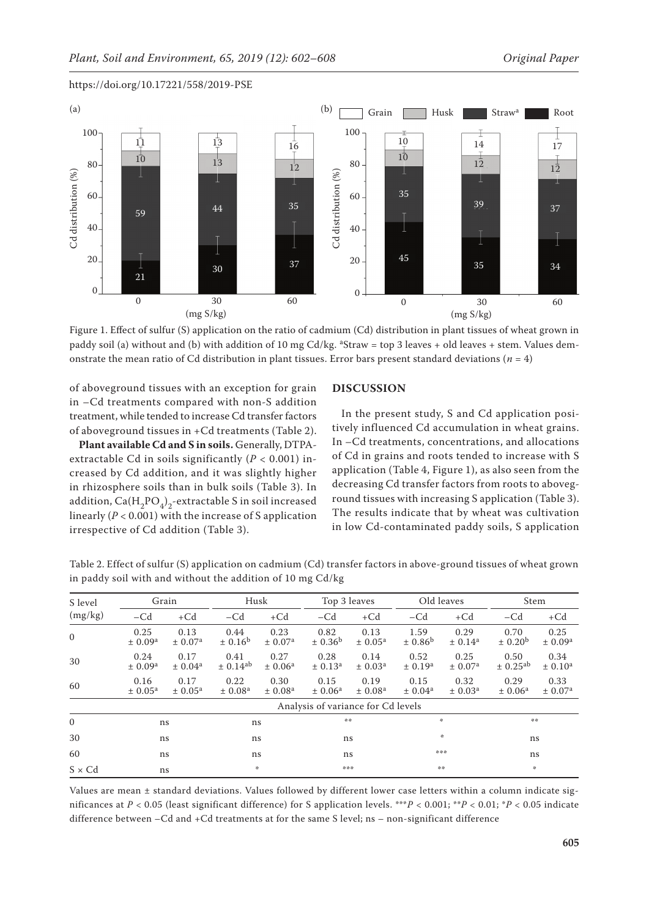

Figure 1. Effect of sulfur (S) application on the ratio of cadmium (Cd) distribution in plant tissues of wheat grown in paddy soil (a) without and (b) with addition of 10 mg Cd/kg.  ${}^{a}$ Straw = top 3 leaves + old leaves + stem. Values demonstrate the mean ratio of Cd distribution in plant tissues. Error bars present standard deviations (*n* = 4)

of aboveground tissues with an exception for grain in –Cd treatments compared with non-S addition treatment, while tended to increase Cd transfer factors of aboveground tissues in +Cd treatments (Table 2).

**Plant available Cd and S in soils.** Generally, DTPAextractable Cd in soils significantly (*P* < 0.001) increased by Cd addition, and it was slightly higher in rhizosphere soils than in bulk soils (Table 3). In addition,  $Ca(H_2PO_4)_2$ -extractable S in soil increased linearly (*P* < 0.001) with the increase of S application irrespective of Cd addition (Table 3).

# **DISCUSSION**

In the present study, S and Cd application positively influenced Cd accumulation in wheat grains. In –Cd treatments, concentrations, and allocations of Cd in grains and roots tended to increase with S application (Table 4, Figure 1), as also seen from the decreasing Cd transfer factors from roots to aboveground tissues with increasing S application (Table 3). The results indicate that by wheat was cultivation in low Cd-contaminated paddy soils, S application

| S level       |                             | Grain                       | Husk                        |                             |                                    | Top 3 leaves                |                             | Old leaves                      | Stem                            |                             |  |
|---------------|-----------------------------|-----------------------------|-----------------------------|-----------------------------|------------------------------------|-----------------------------|-----------------------------|---------------------------------|---------------------------------|-----------------------------|--|
| (mg/kg)       | $-cd$                       | $+Cd$                       | $-cd$                       | $+Cd$                       | $-cd$                              | $+Cd$                       | $-cd$                       | $+Cd$                           | $-cd$                           | $+Cd$                       |  |
| $\Omega$      | 0.25<br>± 0.09 <sup>a</sup> | 0.13<br>± 0.07 <sup>a</sup> | 0.44<br>± 0.16 <sup>b</sup> | 0.23<br>± 0.07 <sup>a</sup> | 0.82<br>± 0.36 <sup>b</sup>        | 0.13<br>± 0.05 <sup>a</sup> | 1.59<br>± 0.86 <sup>b</sup> | 0.29<br>± 0.14 <sup>a</sup>     | 0.70<br>$\pm$ 0.20 <sup>b</sup> | 0.25<br>± 0.09 <sup>a</sup> |  |
| 30            | 0.24<br>± 0.09 <sup>a</sup> | 0.17<br>± 0.04 <sup>a</sup> | 0.41<br>$\pm 0.14^{ab}$     | 0.27<br>± 0.06 <sup>a</sup> | 0.28<br>± 0.13 <sup>a</sup>        | 0.14<br>$\pm 0.03^{\rm a}$  | 0.52<br>± 0.19 <sup>a</sup> | 0.25<br>± 0.07 <sup>a</sup>     | 0.50<br>$\pm 0.25^{ab}$         | 0.34<br>± 0.10 <sup>a</sup> |  |
| 60            | 0.16<br>± 0.05 <sup>a</sup> | 0.17<br>± 0.05 <sup>a</sup> | 0.22<br>± 0.08 <sup>a</sup> | 0.30<br>± 0.08 <sup>a</sup> | 0.15<br>± 0.06 <sup>a</sup>        | 0.19<br>$\pm 0.08^{\rm a}$  | 0.15<br>$\pm 0.04^{\rm a}$  | 0.32<br>$\pm$ 0.03 <sup>a</sup> | 0.29<br>± 0.06 <sup>a</sup>     | 0.33<br>± 0.07 <sup>a</sup> |  |
|               |                             |                             |                             |                             | Analysis of variance for Cd levels |                             |                             |                                 |                                 |                             |  |
| $\mathbf{0}$  |                             | ns                          | ns                          |                             | 染染                                 |                             |                             | *                               | 染染                              |                             |  |
| 30            | ns                          |                             | ns                          |                             | ns                                 |                             | 米                           |                                 | ns                              |                             |  |
| 60            | ns                          |                             | ns                          |                             | ns                                 |                             | 米米米                         |                                 | ns                              |                             |  |
| $S \times Cd$ | ns                          |                             | ∗                           |                             | ***                                |                             | 染染                          |                                 | 楽                               |                             |  |

Table 2. Effect of sulfur (S) application on cadmium (Cd) transfer factors in above-ground tissues of wheat grown in paddy soil with and without the addition of 10 mg Cd/kg

Values are mean ± standard deviations. Values followed by different lower case letters within a column indicate significances at  $P < 0.05$  (least significant difference) for S application levels. \*\*\* $P < 0.001$ ; \*\* $P < 0.01$ ; \* $P < 0.05$  indicate difference between –Cd and +Cd treatments at for the same S level; ns – non-significant difference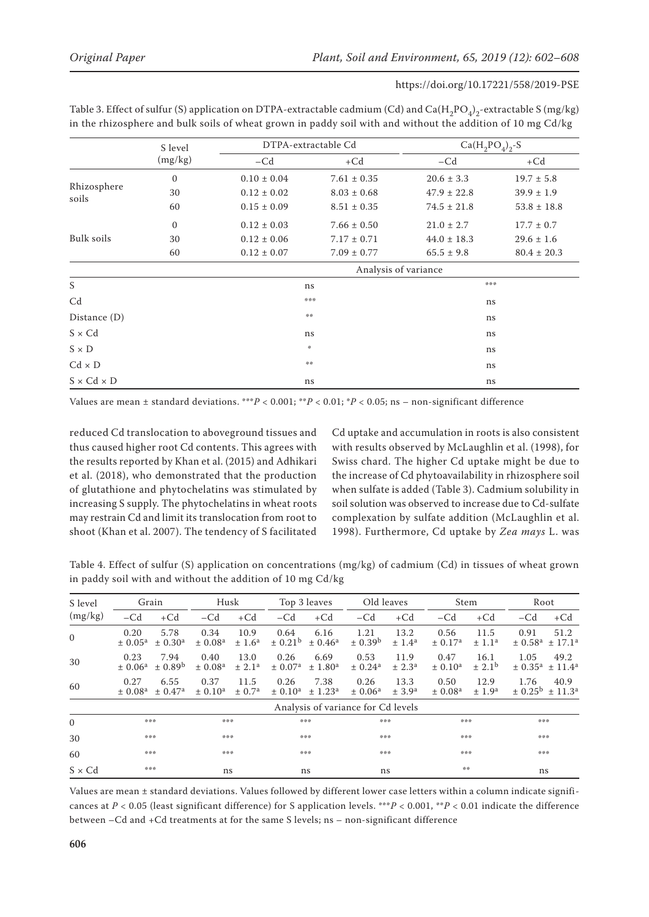| Table 3. Effect of sulfur (S) application on DTPA-extractable cadmium (Cd) and Ca(H <sub>2</sub> PO <sub>4</sub> ) <sub>2</sub> -extractable S (mg/kg) |  |
|--------------------------------------------------------------------------------------------------------------------------------------------------------|--|
| in the rhizosphere and bulk soils of wheat grown in paddy soil with and without the addition of 10 mg Cd/kg                                            |  |

|                        | S level               |                 | $Ca(H_2PO_4)_{2}S$<br>DTPA-extractable Cd |                 |                 |  |  |
|------------------------|-----------------------|-----------------|-------------------------------------------|-----------------|-----------------|--|--|
|                        | (mg/kg)               | $-cd$           | $+Cd$                                     | $-Cd$           | $+Cd$           |  |  |
|                        | $\mathbf{0}$          | $0.10 \pm 0.04$ | $7.61 \pm 0.35$                           | $20.6 \pm 3.3$  | $19.7 \pm 5.8$  |  |  |
| Rhizosphere            | 30                    | $0.12 \pm 0.02$ | $8.03 \pm 0.68$                           | $47.9 \pm 22.8$ | $39.9 \pm 1.9$  |  |  |
| soils                  | 60<br>$0.15 \pm 0.09$ |                 | $8.51 \pm 0.35$                           | $74.5 \pm 21.8$ | $53.8 \pm 18.8$ |  |  |
|                        | $\mathbf{0}$          | $0.12 \pm 0.03$ | $7.66 \pm 0.50$                           | $21.0 \pm 2.7$  | $17.7 \pm 0.7$  |  |  |
| Bulk soils             | 30                    | $0.12 \pm 0.06$ | $7.17 \pm 0.71$                           | $44.0 \pm 18.3$ | $29.6 \pm 1.6$  |  |  |
|                        | 60                    | $0.12 \pm 0.07$ | $7.09 \pm 0.77$                           | $65.5 \pm 9.8$  | $80.4 \pm 20.3$ |  |  |
|                        |                       |                 | Analysis of variance                      |                 |                 |  |  |
| S                      |                       | ns              |                                           | ***             |                 |  |  |
| C <sub>d</sub>         |                       |                 | ***                                       | ns              |                 |  |  |
| Distance $(D)$         |                       | 染染              |                                           | ns              |                 |  |  |
| $S \times Cd$          |                       | ns              |                                           | ns              |                 |  |  |
| $S \times D$           |                       | $\frac{1}{2}$   |                                           | ns              |                 |  |  |
| $Cd \times D$          |                       | 染染              |                                           | ns              |                 |  |  |
| $S \times Cd \times D$ |                       | ns              |                                           | ns              |                 |  |  |

Values are mean  $\pm$  standard deviations. \*\*\**P* < 0.001; \**P* < 0.01; \**P* < 0.05; ns – non-significant difference

reduced Cd translocation to aboveground tissues and thus caused higher root Cd contents. This agrees with the results reported by Khan et al. (2015) and Adhikari et al. (2018), who demonstrated that the production of glutathione and phytochelatins was stimulated by increasing S supply. The phytochelatins in wheat roots may restrain Cd and limit its translocation from root to shoot (Khan et al. 2007). The tendency of S facilitated Cd uptake and accumulation in roots is also consistent with results observed by McLaughlin et al. (1998), for Swiss chard. The higher Cd uptake might be due to the increase of Cd phytoavailability in rhizosphere soil when sulfate is added (Table 3). Cadmium solubility in soil solution was observed to increase due to Cd-sulfate complexation by sulfate addition (McLaughlin et al. 1998). Furthermore, Cd uptake by *Zea mays* L. was

Table 4. Effect of sulfur (S) application on concentrations (mg/kg) of cadmium (Cd) in tissues of wheat grown in paddy soil with and without the addition of 10 mg Cd/kg

| S level       |                                 | Grain                       |                                 | Husk                       |                             | Top 3 leaves                    | Old leaves                         |                            | Stem                        |                                | Root                            |                             |
|---------------|---------------------------------|-----------------------------|---------------------------------|----------------------------|-----------------------------|---------------------------------|------------------------------------|----------------------------|-----------------------------|--------------------------------|---------------------------------|-----------------------------|
| (mg/kg)       | $- C d$                         | $+Cd$                       | $-cd$                           | $+Cd$                      | $-cd$                       | $+Cd$                           | $-cd$                              | $+Cd$                      | $-Cd$                       | $+Cd$                          | $-Cd$                           | $+Cd$                       |
| $\mathbf{0}$  | 0.20<br>$\pm 0.05^{\rm a}$      | 5.78<br>± 0.30 <sup>a</sup> | 0.34<br>± 0.08 <sup>a</sup>     | 10.9<br>± 1.6 <sup>a</sup> | 0.64<br>± 0.21 <sup>b</sup> | 6.16<br>± 0.46 <sup>a</sup>     | 1.21<br>± 0.39 <sup>b</sup>        | 13.2<br>± 1.4 <sup>a</sup> | 0.56<br>± 0.17 <sup>a</sup> | 11.5<br>$\pm$ 1.1 <sup>a</sup> | 0.91<br>± 0.58 <sup>a</sup>     | 51.2<br>± 17.1 <sup>a</sup> |
| 30            | 0.23<br>$\pm 0.06^{\rm a}$      | 7.94<br>$\pm 0.89^{\rm b}$  | 0.40<br>$\pm$ 0.08 <sup>a</sup> | 13.0<br>± 2.1 <sup>a</sup> | 0.26<br>± 0.07 <sup>a</sup> | 6.69<br>$\pm 1.80^{\mathrm{a}}$ | 0.53<br>± 0.24 <sup>a</sup>        | 11.9<br>± 2.3 <sup>a</sup> | 0.47<br>$\pm 0.10^{\rm a}$  | 16.1<br>$\pm 2.1^{\rm b}$      | 1.05<br>± 0.35 <sup>a</sup>     | 49.2<br>± 11.4 <sup>a</sup> |
| 60            | 0.27<br>$\pm$ 0.08 <sup>a</sup> | 6.55<br>± 0.47 <sup>a</sup> | 0.37<br>$\pm 0.10^{\rm a}$      | 11.5<br>$\pm 0.7^{\rm a}$  | 0.26<br>± 0.10 <sup>a</sup> | 7.38<br>± 1.23 <sup>a</sup>     | 0.26<br>± 0.06 <sup>a</sup>        | 13.3<br>± 3.9 <sup>a</sup> | 0.50<br>± 0.08 <sup>a</sup> | 12.9<br>± 1.9 <sup>a</sup>     | 1.76<br>$\pm$ 0.25 <sup>b</sup> | 40.9<br>± 11.3 <sup>a</sup> |
|               |                                 |                             |                                 |                            |                             |                                 | Analysis of variance for Cd levels |                            |                             |                                |                                 |                             |
| $\Omega$      | 染染物                             |                             | 操作者                             |                            |                             | ***                             | 染染物                                |                            | 操操操                         |                                | ***                             |                             |
| 30            | ***                             |                             | ***                             |                            | ***                         |                                 | ***                                |                            | ***                         |                                | ***                             |                             |
| 60            | ***                             |                             | ***                             |                            | ***                         |                                 | ***                                |                            | ***                         |                                | ***                             |                             |
| $S \times Cd$ | ***                             |                             | ns<br>ns                        |                            |                             | ns                              |                                    | 染染                         |                             | ns                             |                                 |                             |

Values are mean ± standard deviations. Values followed by different lower case letters within a column indicate significances at *P* < 0.05 (least significant difference) for S application levels. \*\*\**P* < 0.001, \*\**P* < 0.01 indicate the difference between –Cd and +Cd treatments at for the same S levels; ns – non-significant difference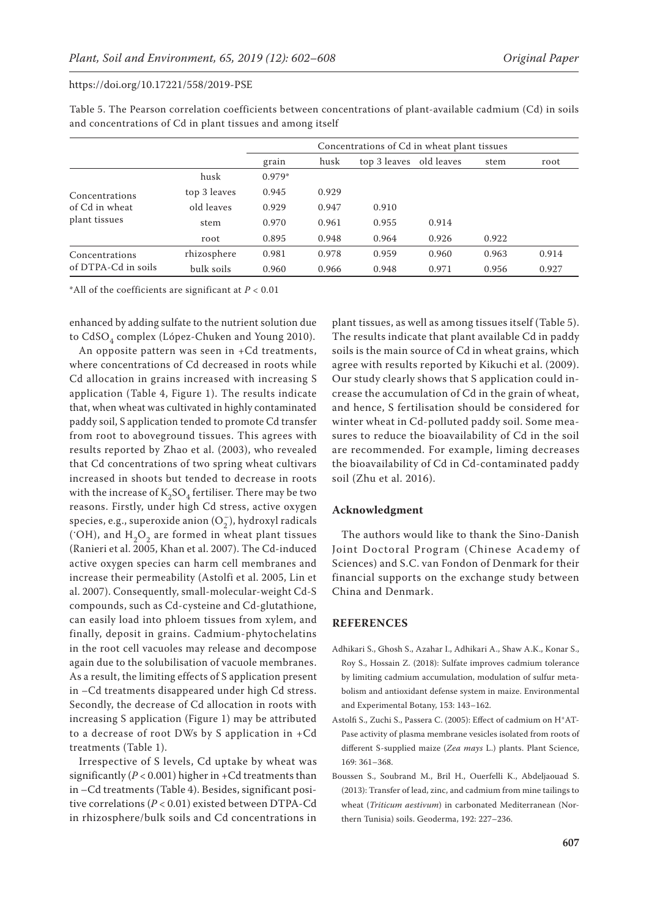|                     |              | Concentrations of Cd in wheat plant tissues |       |                         |       |       |       |  |  |  |  |
|---------------------|--------------|---------------------------------------------|-------|-------------------------|-------|-------|-------|--|--|--|--|
|                     |              | grain                                       | husk  | top 3 leaves old leaves |       | stem  | root  |  |  |  |  |
|                     | husk         | $0.979*$                                    |       |                         |       |       |       |  |  |  |  |
| Concentrations      | top 3 leaves | 0.945                                       | 0.929 |                         |       |       |       |  |  |  |  |
| of Cd in wheat      | old leaves   | 0.929                                       | 0.947 | 0.910                   |       |       |       |  |  |  |  |
| plant tissues       | stem         | 0.970                                       | 0.961 | 0.955                   | 0.914 |       |       |  |  |  |  |
|                     | root         | 0.895                                       | 0.948 | 0.964                   | 0.926 | 0.922 |       |  |  |  |  |
| Concentrations      | rhizosphere  | 0.981                                       | 0.978 | 0.959                   | 0.960 | 0.963 | 0.914 |  |  |  |  |
| of DTPA-Cd in soils | bulk soils   | 0.960                                       | 0.966 | 0.948                   | 0.971 | 0.956 | 0.927 |  |  |  |  |

Table 5. The Pearson correlation coefficients between concentrations of plant-available cadmium (Cd) in soils and concentrations of Cd in plant tissues and among itself

\*All of the coefficients are significant at  $P < 0.01$ 

enhanced by adding sulfate to the nutrient solution due to CdSO<sub>4</sub> complex (López-Chuken and Young 2010).

An opposite pattern was seen in +Cd treatments, where concentrations of Cd decreased in roots while Cd allocation in grains increased with increasing S application (Table 4, Figure 1). The results indicate that, when wheat was cultivated in highly contaminated paddy soil, S application tended to promote Cd transfer from root to aboveground tissues. This agrees with results reported by Zhao et al. (2003), who revealed that Cd concentrations of two spring wheat cultivars increased in shoots but tended to decrease in roots with the increase of  $K_2SO_4$  fertiliser. There may be two reasons. Firstly, under high Cd stress, active oxygen species, e.g., superoxide anion ( $\mathrm{O}_2^-$ ), hydroxyl radicals (°OH), and  $\rm H_2O_2$  are formed in wheat plant tissues (Ranieri et al. 2005, Khan et al. 2007). The Cd-induced active oxygen species can harm cell membranes and increase their permeability (Astolfi et al. 2005, Lin et al. 2007). Consequently, small-molecular-weight Cd-S compounds, such as Cd-cysteine and Cd-glutathione, can easily load into phloem tissues from xylem, and finally, deposit in grains. Cadmium-phytochelatins in the root cell vacuoles may release and decompose again due to the solubilisation of vacuole membranes. As a result, the limiting effects of S application present in –Cd treatments disappeared under high Cd stress. Secondly, the decrease of Cd allocation in roots with increasing S application (Figure 1) may be attributed to a decrease of root DWs by S application in +Cd treatments (Table 1).

Irrespective of S levels, Cd uptake by wheat was significantly ( $P < 0.001$ ) higher in +Cd treatments than in –Cd treatments (Table 4). Besides, significant positive correlations (*P* < 0.01) existed between DTPA-Cd in rhizosphere/bulk soils and Cd concentrations in

plant tissues, as well as among tissues itself (Table 5). The results indicate that plant available Cd in paddy soils is the main source of Cd in wheat grains, which agree with results reported by Kikuchi et al. (2009). Our study clearly shows that S application could increase the accumulation of Cd in the grain of wheat, and hence, S fertilisation should be considered for winter wheat in Cd-polluted paddy soil. Some measures to reduce the bioavailability of Cd in the soil are recommended. For example, liming decreases the bioavailability of Cd in Cd-contaminated paddy soil (Zhu et al. 2016).

## **Acknowledgment**

The authors would like to thank the Sino-Danish Joint Doctoral Program (Chinese Academy of Sciences) and S.C. van Fondon of Denmark for their financial supports on the exchange study between China and Denmark.

## **References**

- Adhikari S., Ghosh S., Azahar I., Adhikari A., Shaw A.K., Konar S., Roy S., Hossain Z. (2018): Sulfate improves cadmium tolerance by limiting cadmium accumulation, modulation of sulfur metabolism and antioxidant defense system in maize. Environmental and Experimental Botany, 153: 143–162.
- Astolfi S., Zuchi S., Passera C. (2005): Effect of cadmium on H+AT-Pase activity of plasma membrane vesicles isolated from roots of different S-supplied maize (*Zea mays* L.) plants. Plant Science, 169: 361–368.
- Boussen S., Soubrand M., Bril H., Ouerfelli K., Abdeljaouad S. (2013): Transfer of lead, zinc, and cadmium from mine tailings to wheat (*Triticum aestivum*) in carbonated Mediterranean (Northern Tunisia) soils. Geoderma, 192: 227–236.